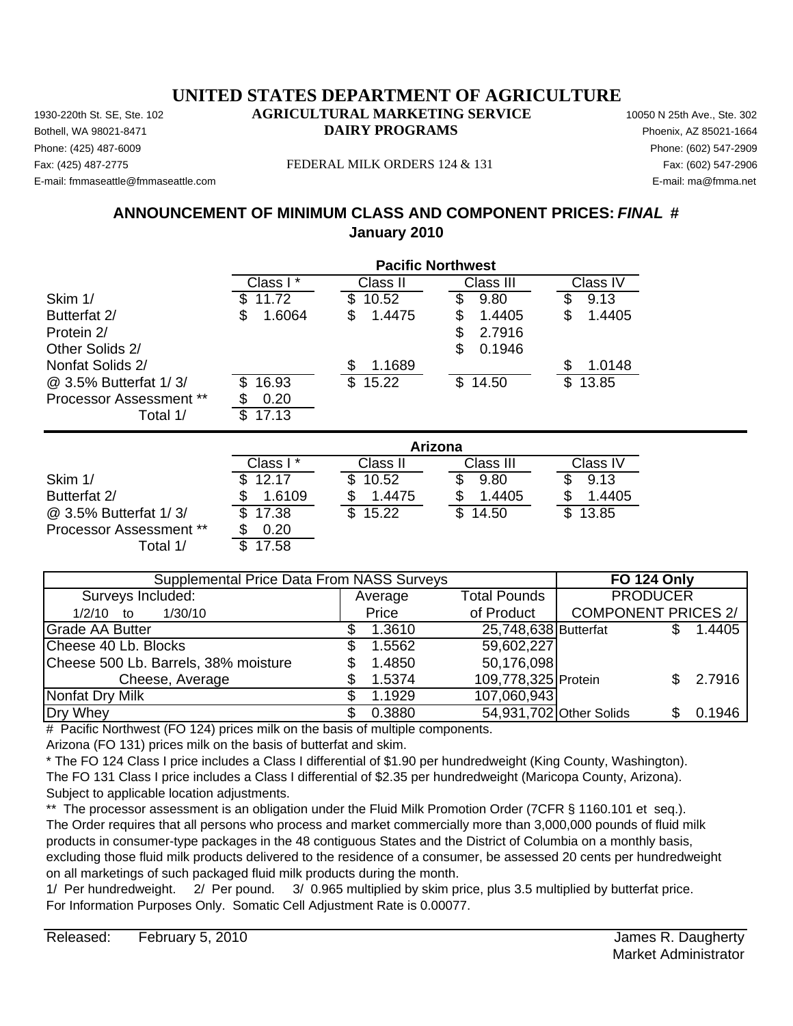Phone: (425) 487-6009 Phone: (602) 547-2909 E-mail: fmmaseattle@fmmaseattle.com E-mail: ma@fmma.net

#### Fax: (425) 487-2775 FEDERAL MILK ORDERS 124 & 131 Fax: (602) 547-2906

# **ANNOUNCEMENT OF MINIMUM CLASS AND COMPONENT PRICES:** *FINAL* **# January 2010**

|                                |              | <b>Pacific Northwest</b> |                |               |
|--------------------------------|--------------|--------------------------|----------------|---------------|
|                                | Class I*     | Class II                 | Class III      | Class IV      |
| Skim 1/                        | 11.72        | \$<br>10.52              | \$<br>9.80     | 9.13          |
| Butterfat 2/                   | 1.6064<br>\$ | \$<br>1.4475             | 1.4405<br>S    | 1.4405<br>\$  |
| Protein 2/                     |              |                          | 2.7916<br>\$   |               |
| Other Solids 2/                |              |                          | \$<br>0.1946   |               |
| Nonfat Solids 2/               |              | 1.1689<br>\$             |                | 1.0148<br>\$. |
| @ 3.5% Butterfat 1/3/          | 16.93<br>S   | \$<br>15.22              | \$14.50        | \$<br>13.85   |
| <b>Processor Assessment **</b> | 0.20         |                          |                |               |
| Total 1/                       | 17.13<br>\$  |                          |                |               |
|                                |              |                          | <b>Arizona</b> |               |
|                                | Class I*     | Class II                 | Class III      | Class IV      |
| Skim 1/                        | 12.17        | \$<br>10.52              | 9.80           | 9.13          |
| Butterfat 2/                   | 1.6109       | 1.4475                   | 1.4405         | 1.4405        |
| @ 3.5% Butterfat 1/3/          | 17.38        | \$<br>15.22              | \$<br>14.50    | \$<br>13.85   |
| <b>Processor Assessment **</b> | 0.20         |                          |                |               |
| Total 1/                       | 17.58<br>\$. |                          |                |               |

| <b>Supplemental Price Data From NASS Surveys</b> |         |                         | <b>FO 124 Only</b>         |        |
|--------------------------------------------------|---------|-------------------------|----------------------------|--------|
| Surveys Included:                                | Average | <b>Total Pounds</b>     | <b>PRODUCER</b>            |        |
| $1/2/10$ to<br>1/30/10                           | Price   | of Product              | <b>COMPONENT PRICES 2/</b> |        |
| <b>Grade AA Butter</b>                           | 1.3610  | 25,748,638 Butterfat    |                            | 1.4405 |
| Cheese 40 Lb. Blocks                             | 1.5562  | 59,602,227              |                            |        |
| Cheese 500 Lb. Barrels, 38% moisture             | 1.4850  | 50,176,098              |                            |        |
| Cheese, Average                                  | 1.5374  | 109,778,325 Protein     |                            | 2.7916 |
| Nonfat Dry Milk                                  | 1.1929  | 107,060,943             |                            |        |
| Dry Whey                                         | 0.3880  | 54,931,702 Other Solids |                            | 0.1946 |

# Pacific Northwest (FO 124) prices milk on the basis of multiple components.

Arizona (FO 131) prices milk on the basis of butterfat and skim.

\* The FO 124 Class I price includes a Class I differential of \$1.90 per hundredweight (King County, Washington). The FO 131 Class I price includes a Class I differential of \$2.35 per hundredweight (Maricopa County, Arizona). Subject to applicable location adjustments.

\*\* The processor assessment is an obligation under the Fluid Milk Promotion Order (7CFR § 1160.101 et seq.). The Order requires that all persons who process and market commercially more than 3,000,000 pounds of fluid milk products in consumer-type packages in the 48 contiguous States and the District of Columbia on a monthly basis, excluding those fluid milk products delivered to the residence of a consumer, be assessed 20 cents per hundredweight on all marketings of such packaged fluid milk products during the month.

1/ Per hundredweight. 2/ Per pound. 3/ 0.965 multiplied by skim price, plus 3.5 multiplied by butterfat price. For Information Purposes Only. Somatic Cell Adjustment Rate is 0.00077.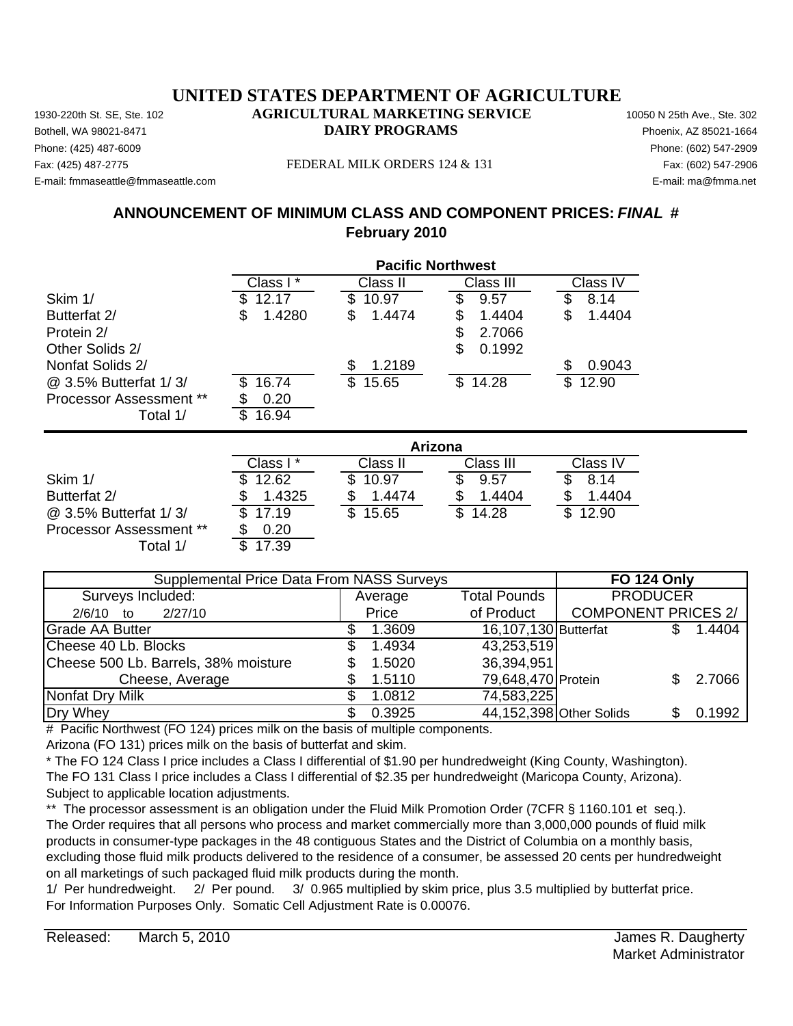Phone: (425) 487-6009 Phone: (602) 547-2909 E-mail: fmmaseattle@fmmaseattle.com E-mail: ma@fmma.net

#### Fax: (425) 487-2775 FEDERAL MILK ORDERS 124 & 131 Fax: (602) 547-2906

# **ANNOUNCEMENT OF MINIMUM CLASS AND COMPONENT PRICES:** *FINAL* **# February 2010**

|                                | <b>Pacific Northwest</b> |              |              |              |
|--------------------------------|--------------------------|--------------|--------------|--------------|
|                                | Class I*                 | Class II     | Class III    | Class IV     |
| Skim 1/                        | 12.17                    | 10.97        | 9.57         | 8.14         |
| Butterfat 2/                   | 1.4280<br>\$             | 1.4474<br>\$ | 1.4404<br>S  | 1.4404<br>\$ |
| Protein 2/                     |                          |              | 2.7066<br>S  |              |
| Other Solids 2/                |                          |              | 0.1992<br>\$ |              |
| Nonfat Solids 2/               |                          | 1.2189<br>\$ |              | 0.9043       |
| @ 3.5% Butterfat 1/3/          | 16.74                    | \$<br>15.65  | \$14.28      | 12.90<br>S   |
| <b>Processor Assessment **</b> | 0.20                     |              |              |              |
| Total 1/                       | 16.94<br>S               |              |              |              |
|                                |                          |              | Arizona      |              |
|                                | Class I*                 | Class II     | Class III    | Class IV     |
| Skim 1/                        | 12.62<br>S               | S<br>10.97   | 9.57<br>\$   | 8.14<br>\$   |
| Butterfat 2/                   | 1.4325<br>\$             | 1.4474<br>\$ | 1.4404<br>\$ | 1.4404<br>\$ |

 $\overline{\textcircled{a}}$  3.5% Butterfat 1/3/  $\overline{\textcircled{b}}$  17.19  $\overline{\textcircled{b}}$  15.65  $\overline{\textcircled{b}}$  14.28  $\overline{\textcircled{b}}$  12.90 Processor Assessment \*\* \$ 0.20 Total  $1/$ 

| Supplemental Price Data From NASS Surveys |         |                      | <b>FO 124 Only</b>         |        |
|-------------------------------------------|---------|----------------------|----------------------------|--------|
| Surveys Included:                         | Average | <b>Total Pounds</b>  | <b>PRODUCER</b>            |        |
| 2/27/10<br>$2/6/10$ to                    | Price   | of Product           | <b>COMPONENT PRICES 2/</b> |        |
| <b>Grade AA Butter</b>                    | 1.3609  | 16,107,130 Butterfat |                            | 1.4404 |
| Cheese 40 Lb. Blocks                      | 1.4934  | 43,253,519           |                            |        |
| Cheese 500 Lb. Barrels, 38% moisture      | 1.5020  | 36,394,951           |                            |        |
| Cheese, Average                           | 1.5110  | 79,648,470 Protein   |                            | 2.7066 |
| Nonfat Dry Milk                           | 1.0812  | 74,583,225           |                            |        |
| Dry Whey                                  | 0.3925  |                      | 44,152,398 Other Solids    | 0.1992 |

# Pacific Northwest (FO 124) prices milk on the basis of multiple components.

Arizona (FO 131) prices milk on the basis of butterfat and skim.

\* The FO 124 Class I price includes a Class I differential of \$1.90 per hundredweight (King County, Washington). The FO 131 Class I price includes a Class I differential of \$2.35 per hundredweight (Maricopa County, Arizona). Subject to applicable location adjustments.

\*\* The processor assessment is an obligation under the Fluid Milk Promotion Order (7CFR § 1160.101 et seq.). The Order requires that all persons who process and market commercially more than 3,000,000 pounds of fluid milk products in consumer-type packages in the 48 contiguous States and the District of Columbia on a monthly basis, excluding those fluid milk products delivered to the residence of a consumer, be assessed 20 cents per hundredweight on all marketings of such packaged fluid milk products during the month.

1/ Per hundredweight. 2/ Per pound. 3/ 0.965 multiplied by skim price, plus 3.5 multiplied by butterfat price. For Information Purposes Only. Somatic Cell Adjustment Rate is 0.00076.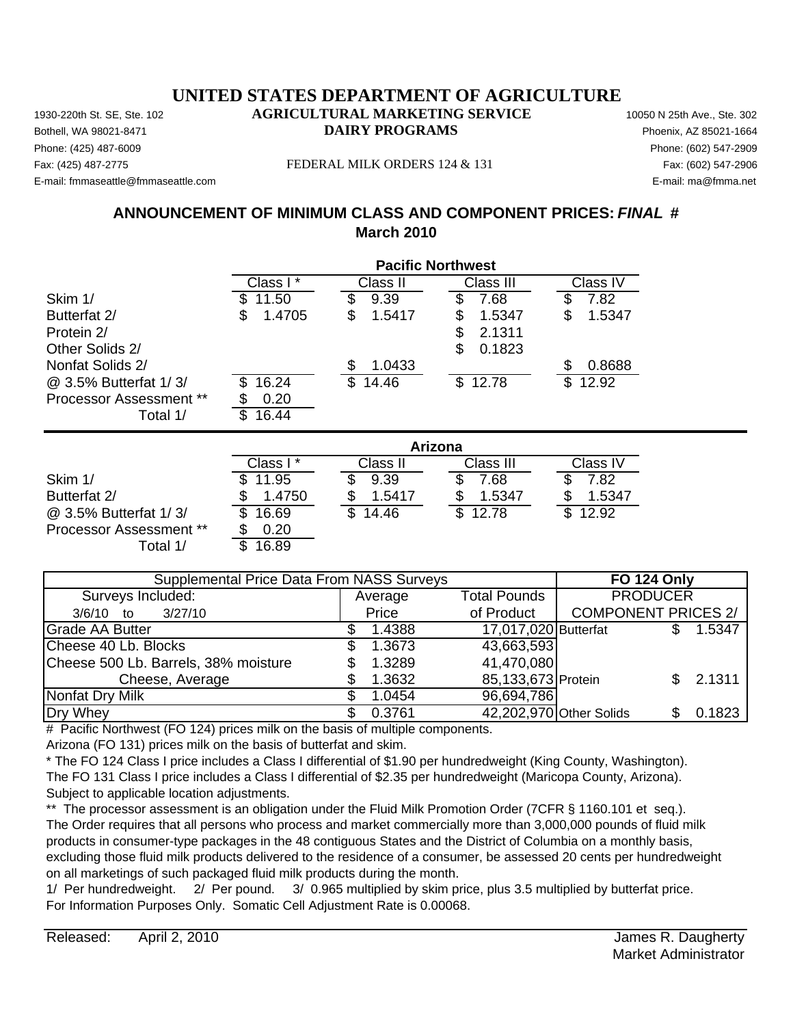Phone: (425) 487-6009 Phone: (602) 547-2909 E-mail: fmmaseattle@fmmaseattle.com E-mail: ma@fmma.net

#### Fax: (425) 487-2775 FEDERAL MILK ORDERS 124 & 131 Fax: (602) 547-2906

# **ANNOUNCEMENT OF MINIMUM CLASS AND COMPONENT PRICES:** *FINAL* **# March 2010**

|                                |              | <b>Pacific Northwest</b> |              |              |
|--------------------------------|--------------|--------------------------|--------------|--------------|
|                                | Class I*     | Class II                 | Class III    | Class IV     |
| Skim 1/                        | 11.50<br>S   | 9.39                     | 7.68<br>S    | 7.82         |
| Butterfat 2/                   | 1.4705<br>\$ | 1.5417<br>S              | 1.5347<br>\$ | 1.5347<br>\$ |
| Protein 2/                     |              |                          | 2.1311<br>\$ |              |
| Other Solids 2/                |              |                          | 0.1823<br>S  |              |
| Nonfat Solids 2/               |              | 1.0433<br>S              |              | 0.8688       |
| @ 3.5% Butterfat 1/3/          | 16.24<br>\$  | 14.46<br>S               | 12.78<br>\$  | 12.92<br>\$  |
| <b>Processor Assessment **</b> | 0.20         |                          |              |              |
| Total 1/                       | 16.44<br>\$  |                          |              |              |
|                                |              | Arizona                  |              |              |
|                                | Class I *    | Class II                 | Class III    | Class IV     |
|                                |              |                          |              |              |

|                                | Class I | Class II     | Class III | Class IV |
|--------------------------------|---------|--------------|-----------|----------|
| Skim 1/                        | 11.95   | 9.39         | 7.68      | 7.82     |
| Butterfat 2/                   | 1.4750  | 1.5417       | 1.5347    | 1.5347   |
| @ 3.5% Butterfat 1/3/          | 16.69   | 14.46<br>\$. | \$12.78   | \$12.92  |
| <b>Processor Assessment **</b> | 0.20    |              |           |          |
| ⊺otal 1/                       | 16.89   |              |           |          |

| Supplemental Price Data From NASS Surveys |         |                      | <b>FO 124 Only</b>            |        |
|-------------------------------------------|---------|----------------------|-------------------------------|--------|
| Surveys Included:                         | Average | <b>Total Pounds</b>  | <b>PRODUCER</b>               |        |
| 3/27/10<br>$3/6/10$ to                    | Price   | of Product           | <b>COMPONENT PRICES 2/</b>    |        |
| <b>Grade AA Butter</b>                    | 1.4388  | 17,017,020 Butterfat |                               | 1.5347 |
| Cheese 40 Lb. Blocks                      | 1.3673  | 43,663,593           |                               |        |
| Cheese 500 Lb. Barrels, 38% moisture      | 1.3289  | 41,470,080           |                               |        |
| Cheese, Average                           | 1.3632  | 85,133,673 Protein   |                               | 2.1311 |
| Nonfat Dry Milk                           | 1.0454  | 96,694,786           |                               |        |
| Dry Whey                                  | 0.3761  |                      | 42,202,970 Other Solids<br>SS | 0.1823 |

# Pacific Northwest (FO 124) prices milk on the basis of multiple components.

Arizona (FO 131) prices milk on the basis of butterfat and skim.

\* The FO 124 Class I price includes a Class I differential of \$1.90 per hundredweight (King County, Washington). The FO 131 Class I price includes a Class I differential of \$2.35 per hundredweight (Maricopa County, Arizona). Subject to applicable location adjustments.

\*\* The processor assessment is an obligation under the Fluid Milk Promotion Order (7CFR § 1160.101 et seq.). The Order requires that all persons who process and market commercially more than 3,000,000 pounds of fluid milk products in consumer-type packages in the 48 contiguous States and the District of Columbia on a monthly basis, excluding those fluid milk products delivered to the residence of a consumer, be assessed 20 cents per hundredweight on all marketings of such packaged fluid milk products during the month.

1/ Per hundredweight. 2/ Per pound. 3/ 0.965 multiplied by skim price, plus 3.5 multiplied by butterfat price. For Information Purposes Only. Somatic Cell Adjustment Rate is 0.00068.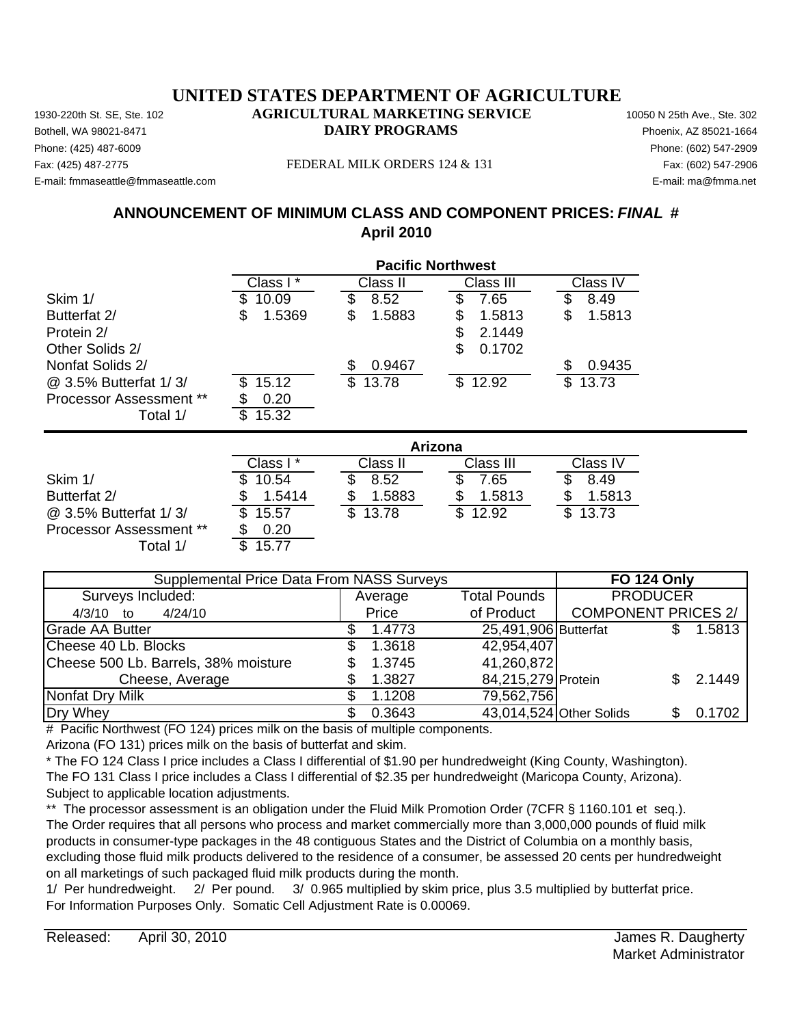Phone: (425) 487-6009 Phone: (602) 547-2909 E-mail: fmmaseattle@fmmaseattle.com E-mail: ma@fmma.net

#### Fax: (425) 487-2775 FEDERAL MILK ORDERS 124 & 131 Fax: (602) 547-2906

# **ANNOUNCEMENT OF MINIMUM CLASS AND COMPONENT PRICES:** *FINAL* **# April 2010**

|                                |              | <b>Pacific Northwest</b> |              |              |
|--------------------------------|--------------|--------------------------|--------------|--------------|
|                                | Class I*     | Class II                 | Class III    | Class IV     |
| Skim 1/                        | 10.09        | \$<br>8.52               | 7.65         | \$<br>8.49   |
| Butterfat 2/                   | 1.5369<br>\$ | \$<br>1.5883             | 1.5813<br>\$ | \$<br>1.5813 |
| Protein 2/                     |              |                          | \$<br>2.1449 |              |
| Other Solids 2/                |              |                          | \$<br>0.1702 |              |
| Nonfat Solids 2/               |              | \$<br>0.9467             |              | \$<br>0.9435 |
| @ 3.5% Butterfat 1/3/          | 15.12<br>S   | \$<br>13.78              | \$12.92      | \$<br>13.73  |
| <b>Processor Assessment **</b> | 0.20         |                          |              |              |
| Total 1/                       | \$<br>15.32  |                          |              |              |
|                                |              |                          | Arizona      |              |
|                                | Class I*     | Class II                 | Class III    | Class IV     |
| Skim 1/                        | 10.54        | S<br>8.52                | 7.65<br>\$   | 8.49<br>\$   |
| Butterfat 2/                   | 1.5414<br>\$ | 1.5883<br>\$             | \$<br>1.5813 | \$<br>1.5813 |

Total 1/ \$ 15.77 Average 4/3/10 to 4/24/10 Price Grade AA Butter **1.5813** \$ 1.4773 25,491,906 Butterfat \$ 1.5813 Cheese 40 Lb. Blocks \$ 1.3618 Cheese 500 Lb. Barrels,  $38\%$  moisture  $$1.3745$ Cheese, Average \$ 1.3827 84,215,279 Protein \$ 2.1449 Nonfat Dry Milk  $\sim$  \$ 1.1208 Dry Whey 0.3643 \$ Other Solids \$ 0.1702 43,014,524 41,260,872 79,562,756 of Product | COMPONENT PRICES 2/ 42,954,407 Supplemental Price Data From NASS Surveys **FO 124 Only** Surveys Included: Total Pounds PRODUCER

@ 3.5% Butterfat 1/ 3/  $\overline{3}$  15.57  $\overline{3}$  13.78  $\overline{3}$  12.92  $\overline{3}$  13.73

# Pacific Northwest (FO 124) prices milk on the basis of multiple components.

Arizona (FO 131) prices milk on the basis of butterfat and skim.

Processor Assessment \*\* \$ 0.20

\* The FO 124 Class I price includes a Class I differential of \$1.90 per hundredweight (King County, Washington). The FO 131 Class I price includes a Class I differential of \$2.35 per hundredweight (Maricopa County, Arizona). Subject to applicable location adjustments.

\*\* The processor assessment is an obligation under the Fluid Milk Promotion Order (7CFR § 1160.101 et seq.). The Order requires that all persons who process and market commercially more than 3,000,000 pounds of fluid milk products in consumer-type packages in the 48 contiguous States and the District of Columbia on a monthly basis, excluding those fluid milk products delivered to the residence of a consumer, be assessed 20 cents per hundredweight on all marketings of such packaged fluid milk products during the month.

1/ Per hundredweight. 2/ Per pound. 3/ 0.965 multiplied by skim price, plus 3.5 multiplied by butterfat price. For Information Purposes Only. Somatic Cell Adjustment Rate is 0.00069.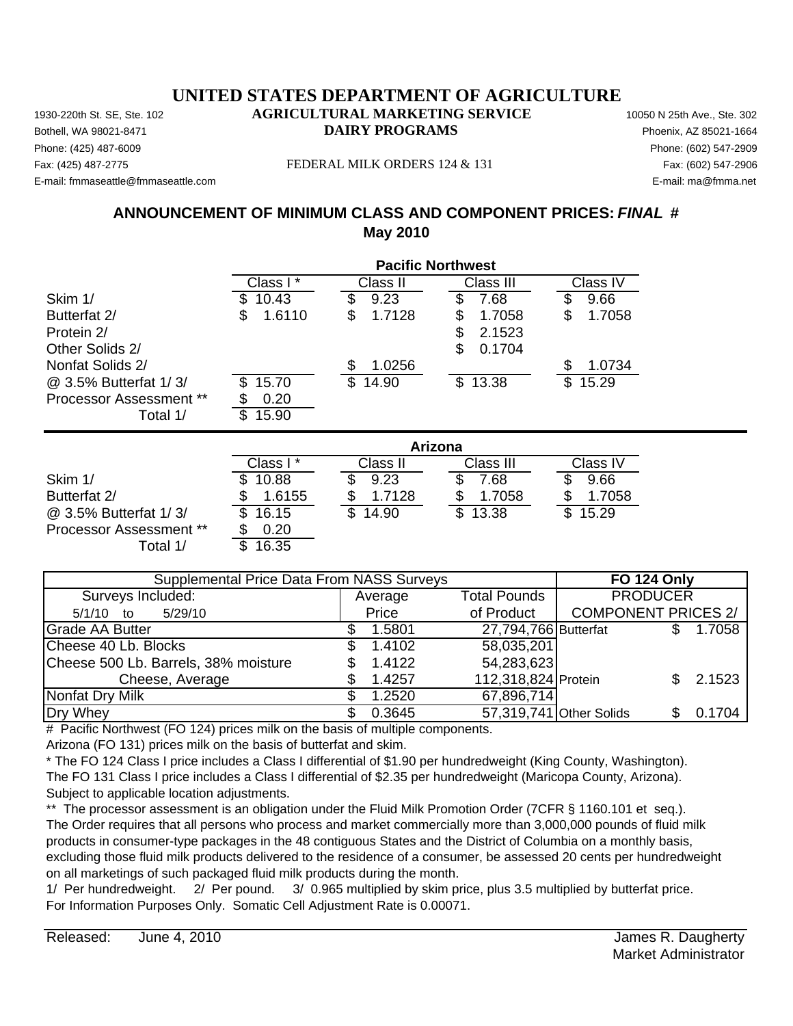Phone: (425) 487-6009 Phone: (602) 547-2909 E-mail: fmmaseattle@fmmaseattle.com E-mail: ma@fmma.net

#### Fax: (425) 487-2775 FEDERAL MILK ORDERS 124 & 131 Fax: (602) 547-2906

# **ANNOUNCEMENT OF MINIMUM CLASS AND COMPONENT PRICES:** *FINAL* **# May 2010**

|                                |              |              | <b>Pacific Northwest</b> |              |
|--------------------------------|--------------|--------------|--------------------------|--------------|
|                                | Class I*     | Class II     | Class III                | Class IV     |
| Skim 1/                        | 10.43<br>S   | 9.23<br>S    | 7.68<br>S                | \$<br>9.66   |
| Butterfat 2/                   | \$<br>1.6110 | \$<br>1.7128 | \$<br>1.7058             | \$<br>1.7058 |
| Protein 2/                     |              |              | 2.1523<br>\$             |              |
| Other Solids 2/                |              |              | \$<br>0.1704             |              |
| Nonfat Solids 2/               |              | 1.0256<br>\$ |                          | \$<br>1.0734 |
| @ 3.5% Butterfat 1/3/          | 15.70<br>S   | \$<br>14.90  | \$13.38                  | \$<br>15.29  |
| <b>Processor Assessment **</b> | 0.20<br>\$   |              |                          |              |
| Total 1/                       | 15.90<br>\$  |              |                          |              |
|                                |              |              | Arizona                  |              |
|                                | Class I*     | Class II     | Class III                | Class IV     |
| Skim 1/                        | 10.88        | 9.23         | 7.68                     | 9.66<br>S    |
| Butterfat 2/                   | 1.6155<br>\$ | 1.7128<br>\$ | 1.7058<br>\$             | 1.7058<br>\$ |
| @ 3.5% Butterfat 1/3/          | \$<br>16.15  | S<br>14.90   | 13.38<br>S               | \$<br>15.29  |

Average 5/1/10 to 5/29/10 Price Grade AA Butter **1.5801** \$ 1.5801 27,794,766 Butterfat \$ 1.7058 Cheese 40 Lb. Blocks \$ 1.4102 Cheese 500 Lb. Barrels,  $38\%$  moisture  $$1.4122$ Cheese, Average \$ 1.4257 112,318,824 Protein \$ 2.1523 Nonfat Dry Milk  $\sim$  \$ 1.2520 Dry Whey \$ 0.3645 57,319,741|Other Solids \$ 0.1704 54,283,623 67,896,714 of Product | COMPONENT PRICES 2/ 58,035,201 Supplemental Price Data From NASS Surveys **FO 124 Only** Surveys Included: The Contract of Average Total Pounds PRODUCER

# Pacific Northwest (FO 124) prices milk on the basis of multiple components.

Arizona (FO 131) prices milk on the basis of butterfat and skim.

Processor Assessment \*\*  $\frac{\$}{\$}$  0.20<br>Total 1/  $\frac{\$}{\$}$  16.35 Total  $1/$ 

\* The FO 124 Class I price includes a Class I differential of \$1.90 per hundredweight (King County, Washington). The FO 131 Class I price includes a Class I differential of \$2.35 per hundredweight (Maricopa County, Arizona). Subject to applicable location adjustments.

\*\* The processor assessment is an obligation under the Fluid Milk Promotion Order (7CFR § 1160.101 et seq.). The Order requires that all persons who process and market commercially more than 3,000,000 pounds of fluid milk products in consumer-type packages in the 48 contiguous States and the District of Columbia on a monthly basis, excluding those fluid milk products delivered to the residence of a consumer, be assessed 20 cents per hundredweight on all marketings of such packaged fluid milk products during the month.

1/ Per hundredweight. 2/ Per pound. 3/ 0.965 multiplied by skim price, plus 3.5 multiplied by butterfat price. For Information Purposes Only. Somatic Cell Adjustment Rate is 0.00071.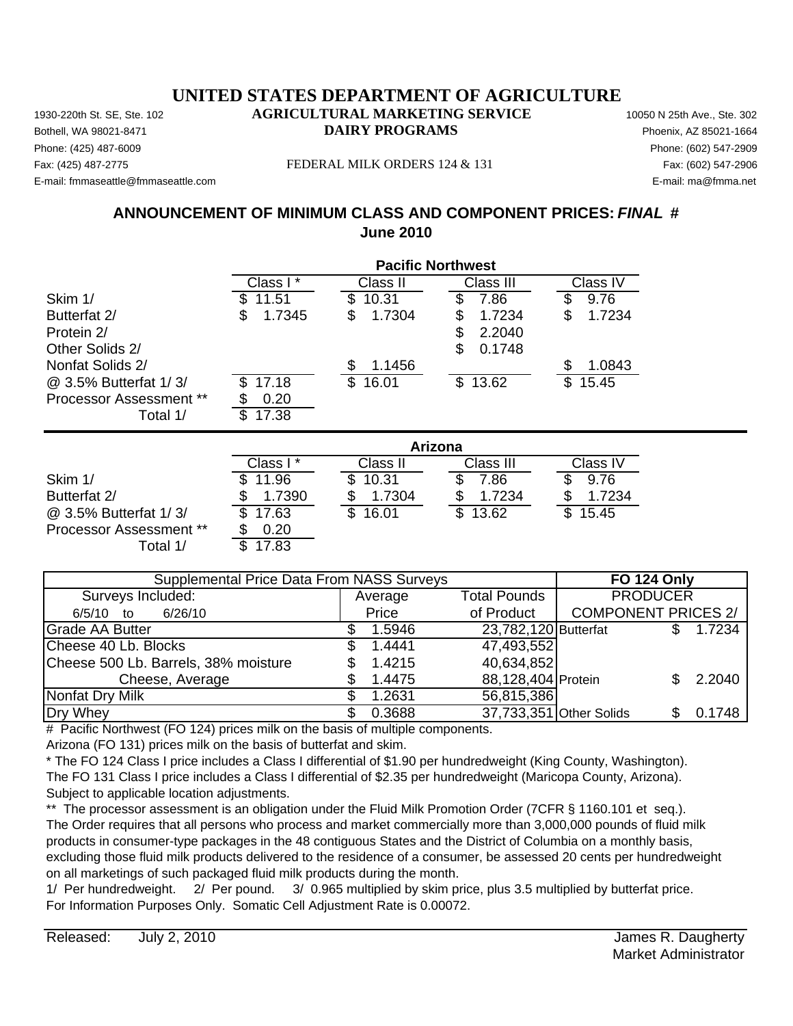Phone: (425) 487-6009 Phone: (602) 547-2909 E-mail: fmmaseattle@fmmaseattle.com E-mail: ma@fmma.net

#### Fax: (425) 487-2775 FEDERAL MILK ORDERS 124 & 131 Fax: (602) 547-2906

# **ANNOUNCEMENT OF MINIMUM CLASS AND COMPONENT PRICES:** *FINAL* **# June 2010**

|                                | <b>Pacific Northwest</b> |              |              |              |
|--------------------------------|--------------------------|--------------|--------------|--------------|
|                                | Class I*                 | Class II     | Class III    | Class IV     |
| Skim 1/                        | 11.51                    | \$<br>10.31  | 7.86         | 9.76         |
| Butterfat 2/                   | 1.7345<br>\$             | 1.7304<br>\$ | 1.7234<br>S  | 1.7234<br>\$ |
| Protein 2/                     |                          |              | \$<br>2.2040 |              |
| Other Solids 2/                |                          |              | \$<br>0.1748 |              |
| Nonfat Solids 2/               |                          | \$<br>1.1456 |              | S<br>1.0843  |
| @ 3.5% Butterfat 1/3/          | 17.18                    | \$<br>16.01  | \$13.62      | \$<br>15.45  |
| <b>Processor Assessment **</b> | 0.20                     |              |              |              |
| Total 1/                       | \$<br>17.38              |              |              |              |
|                                |                          |              | Arizona      |              |
|                                | Class I*                 | Class II     | Class III    | Class IV     |
| Skim 1/                        | 11.96<br>S               | \$<br>10.31  | 7.86<br>\$   | 9.76<br>S    |
| Butterfat 2/                   | 1.7390<br>\$             | 1.7304<br>\$ | 1.7234<br>\$ | 1.7234<br>\$ |

@ 3.5% Butterfat 1/3/  $\overline{3}$  17.63  $\overline{3}$  16.01  $\overline{3}$  13.62  $\overline{3}$  15.45

| Supplemental Price Data From NASS Surveys |             |                      | <b>FO 124 Only</b>         |              |  |
|-------------------------------------------|-------------|----------------------|----------------------------|--------------|--|
| Surveys Included:                         | Average     | <b>Total Pounds</b>  | <b>PRODUCER</b>            |              |  |
| 6/5/10 to<br>6/26/10                      | Price       | of Product           | <b>COMPONENT PRICES 2/</b> |              |  |
| <b>Grade AA Butter</b>                    | 1.5946      | 23,782,120 Butterfat |                            | 1.7234       |  |
| Cheese 40 Lb. Blocks                      | 1.4441      | 47,493,552           |                            |              |  |
| Cheese 500 Lb. Barrels, 38% moisture      | 1.4215<br>S | 40,634,852           |                            |              |  |
| Cheese, Average                           | 1.4475      | 88,128,404 Protein   |                            | 2.2040<br>S. |  |
| Nonfat Dry Milk                           | 1.2631      | 56,815,386           |                            |              |  |
| Dry Whey                                  | 0.3688      |                      | 37,733,351 Other Solids    | 0.1748       |  |

# Pacific Northwest (FO 124) prices milk on the basis of multiple components.

Arizona (FO 131) prices milk on the basis of butterfat and skim.

Processor Assessment \*\* \$ 0.20 Total  $1/$ 

\* The FO 124 Class I price includes a Class I differential of \$1.90 per hundredweight (King County, Washington). The FO 131 Class I price includes a Class I differential of \$2.35 per hundredweight (Maricopa County, Arizona). Subject to applicable location adjustments.

\*\* The processor assessment is an obligation under the Fluid Milk Promotion Order (7CFR § 1160.101 et seq.). The Order requires that all persons who process and market commercially more than 3,000,000 pounds of fluid milk products in consumer-type packages in the 48 contiguous States and the District of Columbia on a monthly basis, excluding those fluid milk products delivered to the residence of a consumer, be assessed 20 cents per hundredweight on all marketings of such packaged fluid milk products during the month.

1/ Per hundredweight. 2/ Per pound. 3/ 0.965 multiplied by skim price, plus 3.5 multiplied by butterfat price. For Information Purposes Only. Somatic Cell Adjustment Rate is 0.00072.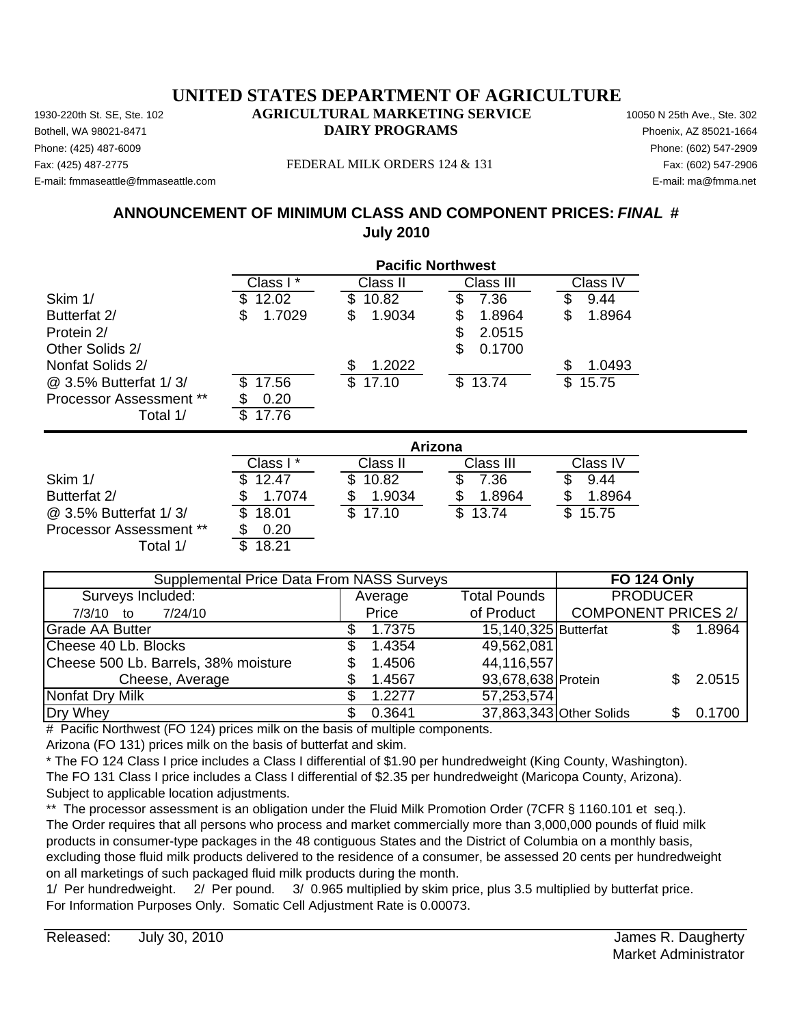Phone: (425) 487-6009 Phone: (602) 547-2909 E-mail: fmmaseattle@fmmaseattle.com E-mail: ma@fmma.net

#### Fax: (425) 487-2775 FEDERAL MILK ORDERS 124 & 131 Fax: (602) 547-2906

# **ANNOUNCEMENT OF MINIMUM CLASS AND COMPONENT PRICES:** *FINAL* **# July 2010**

|                                | <b>Pacific Northwest</b> |              |              |              |
|--------------------------------|--------------------------|--------------|--------------|--------------|
|                                | Class I*                 | Class II     | Class III    | Class IV     |
| Skim 1/                        | 12.02                    | 10.82<br>\$  | \$<br>7.36   | \$<br>9.44   |
| Butterfat 2/                   | 1.7029<br>S              | \$<br>1.9034 | 1.8964<br>\$ | \$<br>1.8964 |
| Protein 2/                     |                          |              | \$<br>2.0515 |              |
| Other Solids 2/                |                          |              | \$<br>0.1700 |              |
| Nonfat Solids 2/               |                          | \$<br>1.2022 |              | 1.0493       |
| @ 3.5% Butterfat 1/3/          | 17.56                    | \$<br>17.10  | \$13.74      | 15.75<br>\$  |
| <b>Processor Assessment **</b> | 0.20                     |              |              |              |
| Total 1/                       | 17.76<br>S               |              |              |              |
|                                |                          |              | Arizona      |              |
|                                | Class I*                 | Class II     | Class III    | Class IV     |
| Skim 1/                        | 12.47                    | S<br>10.82   | \$<br>7.36   | 9.44         |
| Butterfat 2/                   | 1.7074                   | 1.9034       | 1.8964       | 1.8964       |
| @ 3.5% Butterfat 1/3/          | 18.01                    | \$<br>17.10  | \$<br>13.74  | \$<br>15.75  |
| Processor Assessment **        | 0.20<br>S                |              |              |              |

| <b>Supplemental Price Data From NASS Surveys</b> |  |         |                         | <b>FO 124 Only</b>         |        |
|--------------------------------------------------|--|---------|-------------------------|----------------------------|--------|
| Surveys Included:                                |  | Average | <b>Total Pounds</b>     | <b>PRODUCER</b>            |        |
| 7/24/10<br>$7/3/10$ to                           |  | Price   | of Product              | <b>COMPONENT PRICES 2/</b> |        |
| <b>Grade AA Butter</b>                           |  | 1.7375  | 15,140,325 Butterfat    |                            | 1.8964 |
| Cheese 40 Lb. Blocks                             |  | 1.4354  | 49,562,081              |                            |        |
| Cheese 500 Lb. Barrels, 38% moisture             |  | 1.4506  | 44,116,557              |                            |        |
| Cheese, Average                                  |  | 1.4567  | 93,678,638 Protein      |                            | 2.0515 |
| Nonfat Dry Milk                                  |  | 1.2277  | 57,253,574              |                            |        |
| Dry Whey                                         |  | 0.3641  | 37,863,343 Other Solids |                            | 0.1700 |

# Pacific Northwest (FO 124) prices milk on the basis of multiple components.

Arizona (FO 131) prices milk on the basis of butterfat and skim.

Total  $1/$ 

\* The FO 124 Class I price includes a Class I differential of \$1.90 per hundredweight (King County, Washington). The FO 131 Class I price includes a Class I differential of \$2.35 per hundredweight (Maricopa County, Arizona). Subject to applicable location adjustments.

\*\* The processor assessment is an obligation under the Fluid Milk Promotion Order (7CFR § 1160.101 et seq.). The Order requires that all persons who process and market commercially more than 3,000,000 pounds of fluid milk products in consumer-type packages in the 48 contiguous States and the District of Columbia on a monthly basis, excluding those fluid milk products delivered to the residence of a consumer, be assessed 20 cents per hundredweight on all marketings of such packaged fluid milk products during the month.

1/ Per hundredweight. 2/ Per pound. 3/ 0.965 multiplied by skim price, plus 3.5 multiplied by butterfat price. For Information Purposes Only. Somatic Cell Adjustment Rate is 0.00073.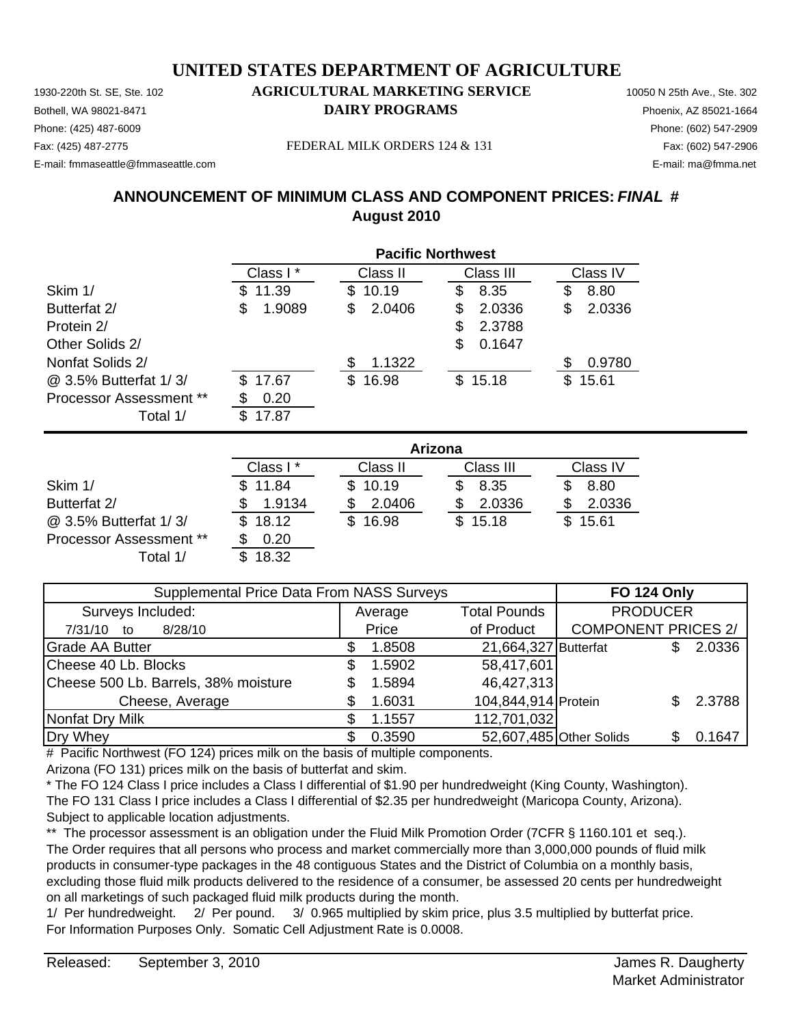Phone: (425) 487-6009 Phone: (602) 547-2909 E-mail: fmmaseattle@fmmaseattle.com E-mail: ma@fmma.net

Fax: (425) 487-2775 FEDERAL MILK ORDERS 124 & 131 Fax: (602) 547-2906

# **ANNOUNCEMENT OF MINIMUM CLASS AND COMPONENT PRICES:** *FINAL* **# August 2010**

|                                | <b>Pacific Northwest</b> |              |             |              |  |
|--------------------------------|--------------------------|--------------|-------------|--------------|--|
|                                | Class I*                 | Class II     | Class III   | Class IV     |  |
| Skim 1/                        | 11.39<br>\$.             | 10.19<br>\$. | 8.35<br>S   | 8.80<br>S    |  |
| Butterfat 2/                   | 1.9089<br>S              | 2.0406<br>\$ | 2.0336<br>S | 2.0336<br>\$ |  |
| Protein 2/                     |                          |              | 2.3788<br>S |              |  |
| Other Solids 2/                |                          |              | 0.1647<br>S |              |  |
| Nonfat Solids 2/               |                          | 1.1322       |             | 0.9780       |  |
| @ 3.5% Butterfat 1/3/          | \$17.67                  | 16.98<br>\$. | \$15.18     | \$15.61      |  |
| <b>Processor Assessment **</b> | 0.20                     |              |             |              |  |
| Total 1/                       | 17.87<br>\$.             |              |             |              |  |

|                                | Arizona  |          |           |          |  |  |
|--------------------------------|----------|----------|-----------|----------|--|--|
|                                | Class I* | Class II | Class III | Class IV |  |  |
| Skim 1/                        | 11.84    | \$10.19  | 8.35      | 8.80     |  |  |
| Butterfat 2/                   | 1.9134   | 2.0406   | 2.0336    | 2.0336   |  |  |
| @ 3.5% Butterfat 1/3/          | 18.12    | \$16.98  | \$15.18   | \$15.61  |  |  |
| <b>Processor Assessment **</b> | 0.20     |          |           |          |  |  |
| Total 1/                       | 18.32    |          |           |          |  |  |

| Supplemental Price Data From NASS Surveys |  |         |                         | <b>FO 124 Only</b>         |        |
|-------------------------------------------|--|---------|-------------------------|----------------------------|--------|
| Surveys Included:                         |  | Average | <b>Total Pounds</b>     | <b>PRODUCER</b>            |        |
| 8/28/10<br>7/31/10<br>to                  |  | Price   | of Product              | <b>COMPONENT PRICES 2/</b> |        |
| <b>Grade AA Butter</b>                    |  | 1.8508  | 21,664,327 Butterfat    |                            | 2.0336 |
| Cheese 40 Lb. Blocks                      |  | 1.5902  | 58,417,601              |                            |        |
| Cheese 500 Lb. Barrels, 38% moisture      |  | 1.5894  | 46,427,313              |                            |        |
| Cheese, Average                           |  | 1.6031  | 104,844,914 Protein     |                            | 2.3788 |
| Nonfat Dry Milk                           |  | 1.1557  | 112,701,032             |                            |        |
| Dry Whey                                  |  | 0.3590  | 52,607,485 Other Solids |                            | 0.1647 |

# Pacific Northwest (FO 124) prices milk on the basis of multiple components.

Arizona (FO 131) prices milk on the basis of butterfat and skim.

\* The FO 124 Class I price includes a Class I differential of \$1.90 per hundredweight (King County, Washington). The FO 131 Class I price includes a Class I differential of \$2.35 per hundredweight (Maricopa County, Arizona). Subject to applicable location adjustments.

\*\* The processor assessment is an obligation under the Fluid Milk Promotion Order (7CFR § 1160.101 et seq.). The Order requires that all persons who process and market commercially more than 3,000,000 pounds of fluid milk products in consumer-type packages in the 48 contiguous States and the District of Columbia on a monthly basis, excluding those fluid milk products delivered to the residence of a consumer, be assessed 20 cents per hundredweight on all marketings of such packaged fluid milk products during the month.

1/ Per hundredweight. 2/ Per pound. 3/ 0.965 multiplied by skim price, plus 3.5 multiplied by butterfat price. For Information Purposes Only. Somatic Cell Adjustment Rate is 0.0008.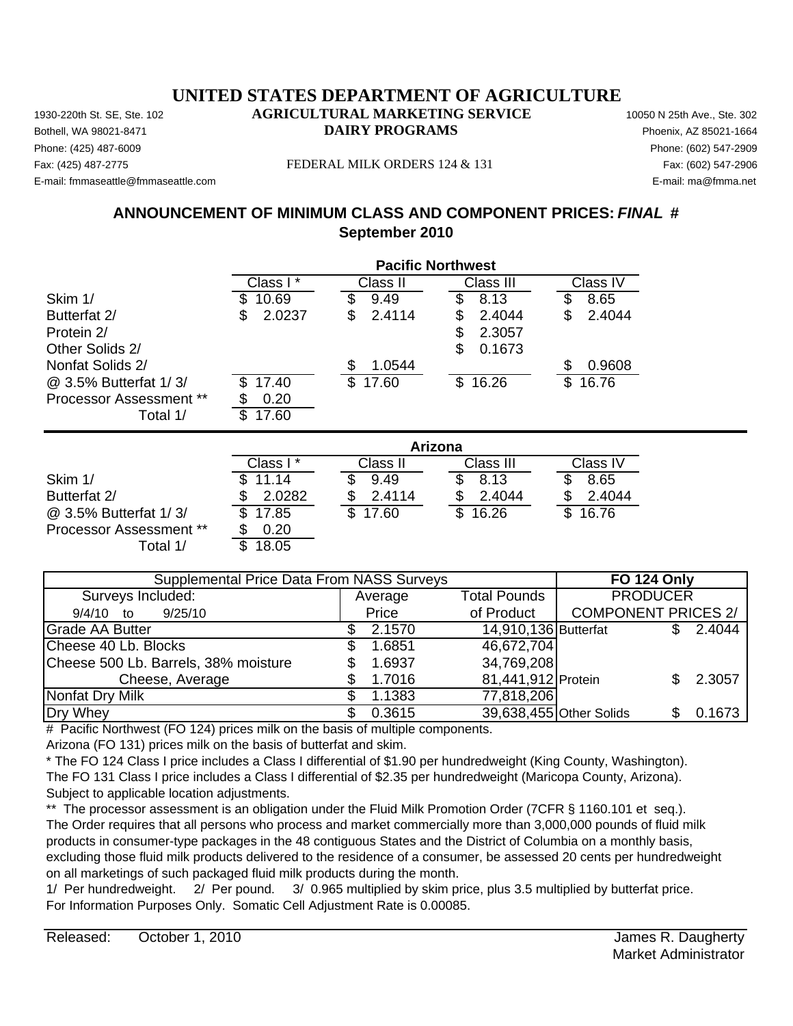Phone: (425) 487-6009 Phone: (602) 547-2909 E-mail: fmmaseattle@fmmaseattle.com E-mail: ma@fmma.net

#### Fax: (425) 487-2775 FEDERAL MILK ORDERS 124 & 131 Fax: (602) 547-2906

# **ANNOUNCEMENT OF MINIMUM CLASS AND COMPONENT PRICES:** *FINAL* **# September 2010**

|                                |              |              | <b>Pacific Northwest</b> |              |
|--------------------------------|--------------|--------------|--------------------------|--------------|
|                                | Class I*     | Class II     | Class III                | Class IV     |
| Skim 1/                        | 10.69        | \$<br>9.49   | \$<br>8.13               | \$<br>8.65   |
| Butterfat 2/                   | 2.0237<br>\$ | \$<br>2.4114 | 2.4044<br>\$             | 2.4044<br>\$ |
| Protein 2/                     |              |              | \$<br>2.3057             |              |
| Other Solids 2/                |              |              | 0.1673<br>\$             |              |
| Nonfat Solids 2/               |              | 1.0544<br>\$ |                          | 0.9608<br>\$ |
| @ 3.5% Butterfat 1/3/          | 17.40        | \$<br>17.60  | \$16.26                  | \$<br>16.76  |
| Processor Assessment **        | 0.20         |              |                          |              |
| Total 1/                       | 17.60<br>\$  |              |                          |              |
|                                |              |              | Arizona                  |              |
|                                | Class I*     | Class II     | Class III                | Class IV     |
| Skim 1/                        | 11.14        | 9.49         | \$<br>8.13               | S<br>8.65    |
| Butterfat 2/                   | 2.0282       | 2.4114<br>\$ | 2.4044                   | 2.4044       |
| @ 3.5% Butterfat 1/3/          | 17.85        | \$<br>17.60  | \$<br>16.26              | \$<br>16.76  |
| <b>Processor Assessment **</b> | 0.20         |              |                          |              |
| Total 1/                       | \$<br>18.05  |              |                          |              |

| Supplemental Price Data From NASS Surveys | <b>FO 124 Only</b> |                      |                                   |
|-------------------------------------------|--------------------|----------------------|-----------------------------------|
| Surveys Included:                         | Average            | <b>Total Pounds</b>  | <b>PRODUCER</b>                   |
| 9/25/10<br>9/4/10 to                      | Price              | of Product           | <b>COMPONENT PRICES 2/</b>        |
| Grade AA Butter                           | 2.1570             | 14,910,136 Butterfat | 2.4044                            |
| Cheese 40 Lb. Blocks                      | 1.6851             | 46,672,704           |                                   |
| Cheese 500 Lb. Barrels, 38% moisture      | 1.6937             | 34,769,208           |                                   |
| Cheese, Average                           | 1.7016             | 81,441,912 Protein   | 2.3057                            |
| Nonfat Dry Milk                           | 1.1383             | 77,818,206           |                                   |
| Dry Whey                                  | 0.3615             |                      | 39,638,455 Other Solids<br>0.1673 |

# Pacific Northwest (FO 124) prices milk on the basis of multiple components.

Arizona (FO 131) prices milk on the basis of butterfat and skim.

\* The FO 124 Class I price includes a Class I differential of \$1.90 per hundredweight (King County, Washington). The FO 131 Class I price includes a Class I differential of \$2.35 per hundredweight (Maricopa County, Arizona). Subject to applicable location adjustments.

\*\* The processor assessment is an obligation under the Fluid Milk Promotion Order (7CFR § 1160.101 et seq.). The Order requires that all persons who process and market commercially more than 3,000,000 pounds of fluid milk products in consumer-type packages in the 48 contiguous States and the District of Columbia on a monthly basis, excluding those fluid milk products delivered to the residence of a consumer, be assessed 20 cents per hundredweight on all marketings of such packaged fluid milk products during the month.

1/ Per hundredweight. 2/ Per pound. 3/ 0.965 multiplied by skim price, plus 3.5 multiplied by butterfat price. For Information Purposes Only. Somatic Cell Adjustment Rate is 0.00085.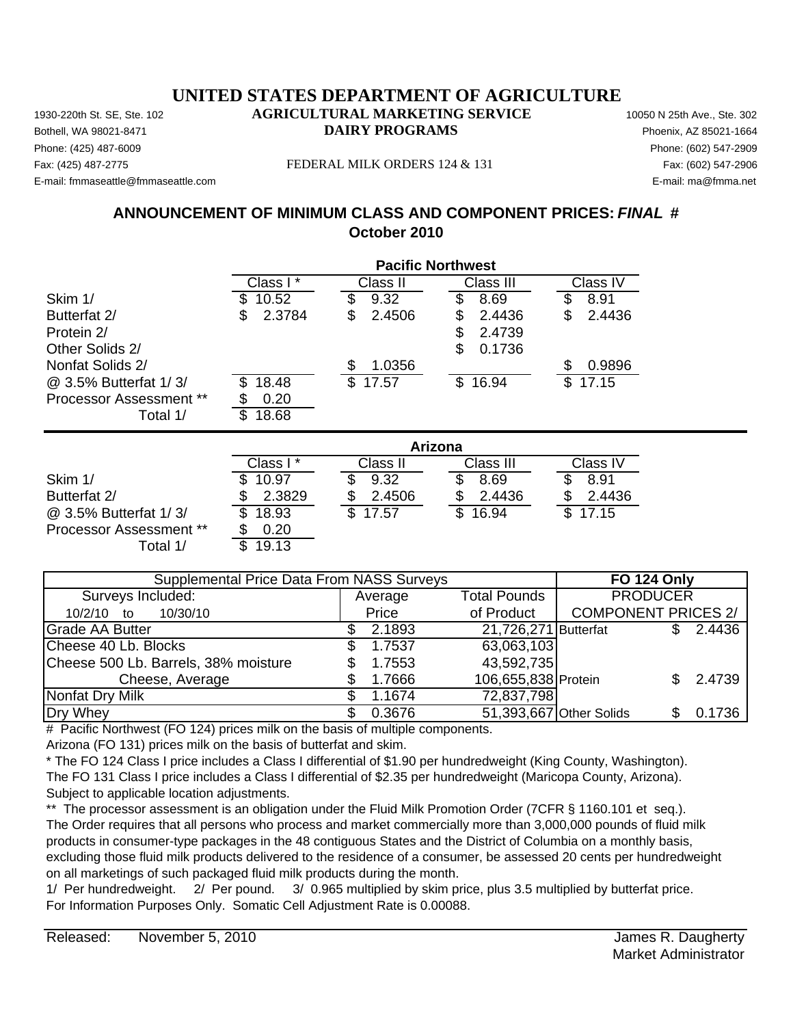Phone: (425) 487-6009 Phone: (602) 547-2909 E-mail: fmmaseattle@fmmaseattle.com E-mail: ma@fmma.net

#### Fax: (425) 487-2775 FEDERAL MILK ORDERS 124 & 131 Fax: (602) 547-2906

# **ANNOUNCEMENT OF MINIMUM CLASS AND COMPONENT PRICES:** *FINAL* **# October 2010**

|                                |              |              | <b>Pacific Northwest</b> |             |
|--------------------------------|--------------|--------------|--------------------------|-------------|
|                                | Class I*     | Class II     | Class III                | Class IV    |
| Skim 1/                        | 10.52        | 9.32<br>\$   | \$<br>8.69               | 8.91        |
| Butterfat 2/                   | 2.3784<br>S  | 2.4506<br>\$ | 2.4436<br>\$             | 2.4436<br>S |
| Protein 2/                     |              |              | 2.4739<br>\$             |             |
| Other Solids 2/                |              |              | \$<br>0.1736             |             |
| Nonfat Solids 2/               |              | 1.0356       |                          | 0.9896      |
| @ 3.5% Butterfat 1/3/          | 18.48<br>S   | \$<br>17.57  | \$16.94                  | \$<br>17.15 |
| <b>Processor Assessment **</b> | 0.20         |              |                          |             |
| Total 1/                       | \$<br>18.68  |              |                          |             |
|                                |              |              | Arizona                  |             |
|                                | Class I*     | Class II     | Class III                | Class IV    |
| Skim 1/                        | 10.97        | 9.32<br>S.   | \$<br>8.69               | 8.91        |
| Butterfat 2/                   | 2.3829       | 2.4506       | 2.4436<br>\$             | 2.4436<br>S |
| @ 3.5% Butterfat 1/3/          | 18.93<br>\$. | \$<br>17.57  | \$<br>16.94              | \$<br>17.15 |
| <b>Processor Assessment **</b> | 0.20<br>\$   |              |                          |             |

| Supplemental Price Data From NASS Surveys | <b>FO 124 Only</b> |                      |                            |        |
|-------------------------------------------|--------------------|----------------------|----------------------------|--------|
| Surveys Included:                         | Average            | <b>Total Pounds</b>  | <b>PRODUCER</b>            |        |
| 10/30/10<br>$10/2/10$ to                  | Price              | of Product           | <b>COMPONENT PRICES 2/</b> |        |
| <b>Grade AA Butter</b>                    | 2.1893             | 21,726,271 Butterfat |                            | 2.4436 |
| Cheese 40 Lb. Blocks                      | 1.7537             | 63,063,103           |                            |        |
| Cheese 500 Lb. Barrels, 38% moisture      | 1.7553             | 43,592,735           |                            |        |
| Cheese, Average                           | 1.7666             | 106,655,838 Protein  |                            | 2.4739 |
| Nonfat Dry Milk                           | 1.1674             | 72,837,798           |                            |        |
| Dry Whey                                  | 0.3676             |                      | 51,393,667 Other Solids    | 0.1736 |

# Pacific Northwest (FO 124) prices milk on the basis of multiple components.

Arizona (FO 131) prices milk on the basis of butterfat and skim.

Total  $1/$   $\overline{\$}$  19.13

\* The FO 124 Class I price includes a Class I differential of \$1.90 per hundredweight (King County, Washington). The FO 131 Class I price includes a Class I differential of \$2.35 per hundredweight (Maricopa County, Arizona). Subject to applicable location adjustments.

\*\* The processor assessment is an obligation under the Fluid Milk Promotion Order (7CFR § 1160.101 et seq.). The Order requires that all persons who process and market commercially more than 3,000,000 pounds of fluid milk products in consumer-type packages in the 48 contiguous States and the District of Columbia on a monthly basis, excluding those fluid milk products delivered to the residence of a consumer, be assessed 20 cents per hundredweight on all marketings of such packaged fluid milk products during the month.

1/ Per hundredweight. 2/ Per pound. 3/ 0.965 multiplied by skim price, plus 3.5 multiplied by butterfat price. For Information Purposes Only. Somatic Cell Adjustment Rate is 0.00088.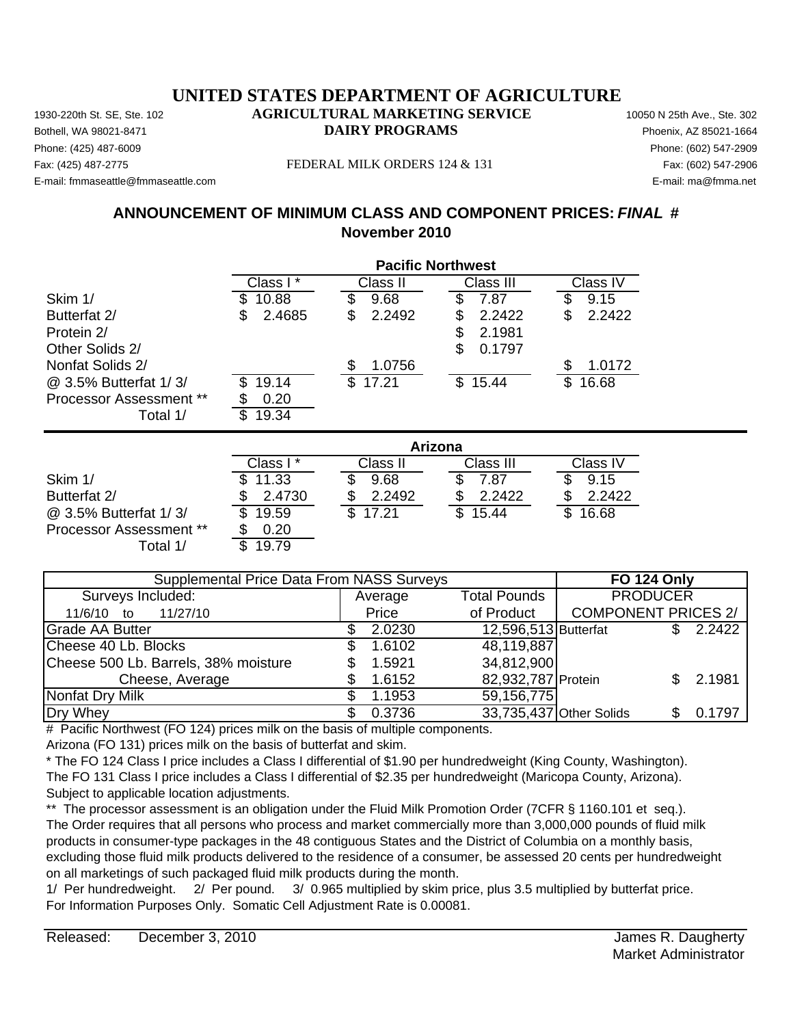Phone: (425) 487-6009 Phone: (602) 547-2909 E-mail: fmmaseattle@fmmaseattle.com E-mail: ma@fmma.net

#### Fax: (425) 487-2775 FEDERAL MILK ORDERS 124 & 131 Fax: (602) 547-2906

# **ANNOUNCEMENT OF MINIMUM CLASS AND COMPONENT PRICES:** *FINAL* **# November 2010**

|                                |                                     |              | <b>Pacific Northwest</b> |              |
|--------------------------------|-------------------------------------|--------------|--------------------------|--------------|
|                                | Class $\overline{\mathsf{I}^*}$     | Class II     | Class III                | Class IV     |
| Skim 1/                        | 10.88                               | 9.68<br>\$   | 7.87<br>\$               | 9.15<br>S    |
| Butterfat 2/                   | 2.4685<br>\$                        | \$<br>2.2492 | \$<br>2.2422             | \$<br>2.2422 |
| Protein 2/                     |                                     |              | \$<br>2.1981             |              |
| Other Solids 2/                |                                     |              | \$<br>0.1797             |              |
| Nonfat Solids 2/               |                                     | 1.0756<br>\$ |                          | 1.0172       |
| @ 3.5% Butterfat 1/3/          | 19.14                               | \$<br>17.21  | \$15.44                  | 16.68<br>\$  |
| <b>Processor Assessment **</b> | 0.20                                |              |                          |              |
| Total 1/                       | 19.34<br>\$                         |              |                          |              |
|                                |                                     |              | Arizona                  |              |
|                                | Class $\overline{1}^{\overline{x}}$ | Class II     | Class III                | Class IV     |
| Skim 1/                        | 11.33                               | 9.68         | \$<br>7.87               | 9.15         |
| Butterfat 2/                   | 2.4730                              | 2.2492<br>S  | 2.2422<br>\$             | 2.2422<br>\$ |
| @ 3.5% Butterfat 1/3/          | \$<br>19.59                         | \$<br>17.21  | \$<br>15.44              | \$<br>16.68  |

Average 11/6/10 to 11/27/10 **Price** Grade AA Butter **3 12.0230 12,596,513** Butterfat \$ 2.2422 Cheese 40 Lb. Blocks 5 1.6102 Cheese 500 Lb. Barrels,  $38\%$  moisture  $$3.5921$ Cheese, Average \$ 1.6152 82,932,787 Protein \$ 2.1981 Nonfat Dry Milk  $\sim$  \$ 1.1953 Dry Whey \$ 0.3736 33,735,437 Other Solids \$ 0.1797 34,812,900 59,156,775 of Product | COMPONENT PRICES 2/ 48,119,887 Supplemental Price Data From NASS Surveys **FO 124 Only** Surveys Included: The Contract of Average Total Pounds PRODUCER

# Pacific Northwest (FO 124) prices milk on the basis of multiple components.

Arizona (FO 131) prices milk on the basis of butterfat and skim.

\* The FO 124 Class I price includes a Class I differential of \$1.90 per hundredweight (King County, Washington). The FO 131 Class I price includes a Class I differential of \$2.35 per hundredweight (Maricopa County, Arizona). Subject to applicable location adjustments.

\*\* The processor assessment is an obligation under the Fluid Milk Promotion Order (7CFR § 1160.101 et seq.). The Order requires that all persons who process and market commercially more than 3,000,000 pounds of fluid milk products in consumer-type packages in the 48 contiguous States and the District of Columbia on a monthly basis, excluding those fluid milk products delivered to the residence of a consumer, be assessed 20 cents per hundredweight on all marketings of such packaged fluid milk products during the month.

1/ Per hundredweight. 2/ Per pound. 3/ 0.965 multiplied by skim price, plus 3.5 multiplied by butterfat price. For Information Purposes Only. Somatic Cell Adjustment Rate is 0.00081.

Processor Assessment \*\* \$ 0.20

Total 1/ \$ 19.79